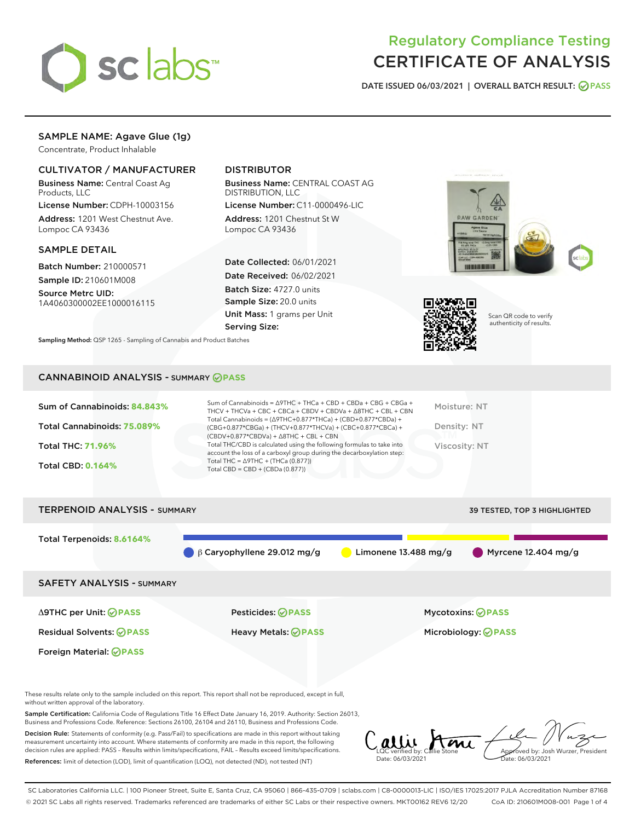

# Regulatory Compliance Testing CERTIFICATE OF ANALYSIS

DATE ISSUED 06/03/2021 | OVERALL BATCH RESULT: @ PASS

# SAMPLE NAME: Agave Glue (1g)

Concentrate, Product Inhalable

# CULTIVATOR / MANUFACTURER

Business Name: Central Coast Ag Products, LLC

License Number: CDPH-10003156 Address: 1201 West Chestnut Ave. Lompoc CA 93436

## SAMPLE DETAIL

Batch Number: 210000571 Sample ID: 210601M008

Source Metrc UID: 1A4060300002EE1000016115

# DISTRIBUTOR

Business Name: CENTRAL COAST AG DISTRIBUTION, LLC

License Number: C11-0000496-LIC Address: 1201 Chestnut St W Lompoc CA 93436

Date Collected: 06/01/2021 Date Received: 06/02/2021 Batch Size: 4727.0 units Sample Size: 20.0 units Unit Mass: 1 grams per Unit Serving Size:





Scan QR code to verify authenticity of results.

Sampling Method: QSP 1265 - Sampling of Cannabis and Product Batches

## CANNABINOID ANALYSIS - SUMMARY **PASS**

| Sum of Cannabinoids: 84.843% | Sum of Cannabinoids = $\triangle$ 9THC + THCa + CBD + CBDa + CBG + CBGa +<br>THCV + THCVa + CBC + CBCa + CBDV + CBDVa + $\Delta$ 8THC + CBL + CBN                                    | Moisture: NT  |
|------------------------------|--------------------------------------------------------------------------------------------------------------------------------------------------------------------------------------|---------------|
| Total Cannabinoids: 75.089%  | Total Cannabinoids = $(\Delta$ 9THC+0.877*THCa) + (CBD+0.877*CBDa) +<br>(CBG+0.877*CBGa) + (THCV+0.877*THCVa) + (CBC+0.877*CBCa) +<br>$(CBDV+0.877*CBDVa) + \Delta 8THC + CBL + CBN$ | Density: NT   |
| <b>Total THC: 71.96%</b>     | Total THC/CBD is calculated using the following formulas to take into<br>account the loss of a carboxyl group during the decarboxylation step:                                       | Viscosity: NT |
| <b>Total CBD: 0.164%</b>     | Total THC = $\triangle$ 9THC + (THCa (0.877))<br>Total CBD = $CBD + (CBDa (0.877))$                                                                                                  |               |
|                              |                                                                                                                                                                                      |               |



These results relate only to the sample included on this report. This report shall not be reproduced, except in full, without written approval of the laboratory.

Sample Certification: California Code of Regulations Title 16 Effect Date January 16, 2019. Authority: Section 26013, Business and Professions Code. Reference: Sections 26100, 26104 and 26110, Business and Professions Code.

Decision Rule: Statements of conformity (e.g. Pass/Fail) to specifications are made in this report without taking measurement uncertainty into account. Where statements of conformity are made in this report, the following decision rules are applied: PASS – Results within limits/specifications, FAIL – Results exceed limits/specifications. References: limit of detection (LOD), limit of quantification (LOQ), not detected (ND), not tested (NT)

LQC verified by: Callie Stone Date: 06/03/2021 Approved by: Josh Wurzer, President Date: 06/03/2021

SC Laboratories California LLC. | 100 Pioneer Street, Suite E, Santa Cruz, CA 95060 | 866-435-0709 | sclabs.com | C8-0000013-LIC | ISO/IES 17025:2017 PJLA Accreditation Number 87168 © 2021 SC Labs all rights reserved. Trademarks referenced are trademarks of either SC Labs or their respective owners. MKT00162 REV6 12/20 CoA ID: 210601M008-001 Page 1 of 4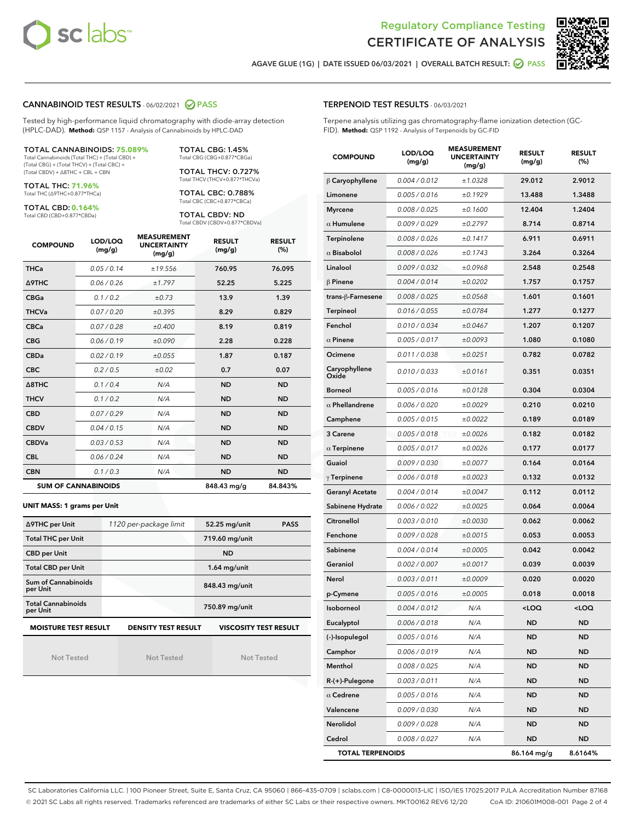



AGAVE GLUE (1G) | DATE ISSUED 06/03/2021 | OVERALL BATCH RESULT: @ PASS

## CANNABINOID TEST RESULTS - 06/02/2021 @ PASS

Tested by high-performance liquid chromatography with diode-array detection (HPLC-DAD). **Method:** QSP 1157 - Analysis of Cannabinoids by HPLC-DAD

## TOTAL CANNABINOIDS: **75.089%**

Total Cannabinoids (Total THC) + (Total CBD) + (Total CBG) + (Total THCV) + (Total CBC) + (Total CBDV) + ∆8THC + CBL + CBN

TOTAL THC: **71.96%** Total THC (∆9THC+0.877\*THCa)

TOTAL CBD: **0.164%**

Total CBD (CBD+0.877\*CBDa)

TOTAL CBG: 1.45% Total CBG (CBG+0.877\*CBGa)

TOTAL THCV: 0.727% Total THCV (THCV+0.877\*THCVa)

TOTAL CBC: 0.788% Total CBC (CBC+0.877\*CBCa)

TOTAL CBDV: ND Total CBDV (CBDV+0.877\*CBDVa)

| <b>COMPOUND</b>  | LOD/LOQ<br>(mg/g)          | <b>MEASUREMENT</b><br><b>UNCERTAINTY</b><br>(mg/g) | <b>RESULT</b><br>(mg/g) | <b>RESULT</b><br>(%) |
|------------------|----------------------------|----------------------------------------------------|-------------------------|----------------------|
| <b>THCa</b>      | 0.05/0.14                  | ±19.556                                            | 760.95                  | 76.095               |
| <b>A9THC</b>     | 0.06 / 0.26                | ±1.797                                             | 52.25                   | 5.225                |
| <b>CBGa</b>      | 0.1/0.2                    | $\pm 0.73$                                         | 13.9                    | 1.39                 |
| <b>THCVa</b>     | 0.07 / 0.20                | ±0.395                                             | 8.29                    | 0.829                |
| <b>CBCa</b>      | 0.07/0.28                  | ±0.400                                             | 8.19                    | 0.819                |
| <b>CBG</b>       | 0.06/0.19                  | ±0.090                                             | 2.28                    | 0.228                |
| <b>CBDa</b>      | 0.02/0.19                  | ±0.055                                             | 1.87                    | 0.187                |
| <b>CBC</b>       | 0.2 / 0.5                  | ±0.02                                              | 0.7                     | 0.07                 |
| $\triangle$ 8THC | 0.1/0.4                    | N/A                                                | <b>ND</b>               | <b>ND</b>            |
| <b>THCV</b>      | 0.1/0.2                    | N/A                                                | <b>ND</b>               | <b>ND</b>            |
| <b>CBD</b>       | 0.07/0.29                  | N/A                                                | <b>ND</b>               | <b>ND</b>            |
| <b>CBDV</b>      | 0.04 / 0.15                | N/A                                                | <b>ND</b>               | <b>ND</b>            |
| <b>CBDVa</b>     | 0.03 / 0.53                | N/A                                                | <b>ND</b>               | <b>ND</b>            |
| <b>CBL</b>       | 0.06 / 0.24                | N/A                                                | <b>ND</b>               | <b>ND</b>            |
| <b>CBN</b>       | 0.1/0.3                    | N/A                                                | <b>ND</b>               | <b>ND</b>            |
|                  | <b>SUM OF CANNABINOIDS</b> |                                                    | 848.43 mg/g             | 84.843%              |

#### **UNIT MASS: 1 grams per Unit**

| ∆9THC per Unit                        | 1120 per-package limit     | 52.25 mg/unit<br><b>PASS</b> |
|---------------------------------------|----------------------------|------------------------------|
| <b>Total THC per Unit</b>             |                            | 719.60 mg/unit               |
| <b>CBD per Unit</b>                   |                            | <b>ND</b>                    |
| <b>Total CBD per Unit</b>             |                            | $1.64$ mg/unit               |
| Sum of Cannabinoids<br>per Unit       |                            | 848.43 mg/unit               |
| <b>Total Cannabinoids</b><br>per Unit |                            | 750.89 mg/unit               |
| <b>MOISTURE TEST RESULT</b>           | <b>DENSITY TEST RESULT</b> | <b>VISCOSITY TEST RESULT</b> |

Not Tested

Not Tested

Not Tested

## TERPENOID TEST RESULTS - 06/03/2021

Terpene analysis utilizing gas chromatography-flame ionization detection (GC-FID). **Method:** QSP 1192 - Analysis of Terpenoids by GC-FID

| <b>COMPOUND</b>         | LOD/LOQ<br>(mg/g) | <b>MEASUREMENT</b><br><b>UNCERTAINTY</b><br>(mg/g) | <b>RESULT</b><br>(mg/g)                          | <b>RESULT</b><br>(%) |
|-------------------------|-------------------|----------------------------------------------------|--------------------------------------------------|----------------------|
| $\beta$ Caryophyllene   | 0.004 / 0.012     | ±1.0328                                            | 29.012                                           | 2.9012               |
| Limonene                | 0.005 / 0.016     | ±0.1929                                            | 13.488                                           | 1.3488               |
| <b>Myrcene</b>          | 0.008 / 0.025     | ±0.1600                                            | 12.404                                           | 1.2404               |
| $\alpha$ Humulene       | 0.009 / 0.029     | ±0.2797                                            | 8.714                                            | 0.8714               |
| Terpinolene             | 0.008 / 0.026     | ±0.1417                                            | 6.911                                            | 0.6911               |
| $\alpha$ Bisabolol      | 0.008 / 0.026     | ±0.1743                                            | 3.264                                            | 0.3264               |
| Linalool                | 0.009 / 0.032     | ±0.0968                                            | 2.548                                            | 0.2548               |
| $\beta$ Pinene          | 0.004 / 0.014     | ±0.0202                                            | 1.757                                            | 0.1757               |
| trans-ß-Farnesene       | 0.008 / 0.025     | ±0.0568                                            | 1.601                                            | 0.1601               |
| Terpineol               | 0.016 / 0.055     | ±0.0784                                            | 1.277                                            | 0.1277               |
| Fenchol                 | 0.010 / 0.034     | ±0.0467                                            | 1.207                                            | 0.1207               |
| $\alpha$ Pinene         | 0.005 / 0.017     | ±0.0093                                            | 1.080                                            | 0.1080               |
| Ocimene                 | 0.011 / 0.038     | ±0.0251                                            | 0.782                                            | 0.0782               |
| Caryophyllene<br>Oxide  | 0.010 / 0.033     | ±0.0161                                            | 0.351                                            | 0.0351               |
| <b>Borneol</b>          | 0.005 / 0.016     | ±0.0128                                            | 0.304                                            | 0.0304               |
| $\alpha$ Phellandrene   | 0.006 / 0.020     | ±0.0029                                            | 0.210                                            | 0.0210               |
| Camphene                | 0.005 / 0.015     | ±0.0022                                            | 0.189                                            | 0.0189               |
| 3 Carene                | 0.005 / 0.018     | ±0.0026                                            | 0.182                                            | 0.0182               |
| $\alpha$ Terpinene      | 0.005 / 0.017     | ±0.0026                                            | 0.177                                            | 0.0177               |
| Guaiol                  | 0.009 / 0.030     | ±0.0077                                            | 0.164                                            | 0.0164               |
| $\gamma$ Terpinene      | 0.006 / 0.018     | ±0.0023                                            | 0.132                                            | 0.0132               |
| <b>Geranyl Acetate</b>  | 0.004 / 0.014     | ±0.0047                                            | 0.112                                            | 0.0112               |
| Sabinene Hydrate        | 0.006 / 0.022     | ±0.0025                                            | 0.064                                            | 0.0064               |
| Citronellol             | 0.003 / 0.010     | ±0.0030                                            | 0.062                                            | 0.0062               |
| Fenchone                | 0.009 / 0.028     | ±0.0015                                            | 0.053                                            | 0.0053               |
| Sabinene                | 0.004 / 0.014     | ±0.0005                                            | 0.042                                            | 0.0042               |
| Geraniol                | 0.002 / 0.007     | ±0.0017                                            | 0.039                                            | 0.0039               |
| Nerol                   | 0.003 / 0.011     | ±0.0009                                            | 0.020                                            | 0.0020               |
| p-Cymene                | 0.005 / 0.016     | ±0.0005                                            | 0.018                                            | 0.0018               |
| <b>Isoborneol</b>       | 0.004 / 0.012     | N/A                                                | <loq< th=""><th><math>&lt;</math>LOQ</th></loq<> | $<$ LOQ              |
| Eucalyptol              | 0.006 / 0.018     | N/A                                                | ND                                               | ND                   |
| (-)-Isopulegol          | 0.005 / 0.016     | N/A                                                | ND                                               | ND                   |
| Camphor                 | 0.006 / 0.019     | N/A                                                | <b>ND</b>                                        | ND                   |
| Menthol                 | 0.008 / 0.025     | N/A                                                | <b>ND</b>                                        | ND                   |
| R-(+)-Pulegone          | 0.003 / 0.011     | N/A                                                | ND                                               | ND                   |
| $\alpha$ Cedrene        | 0.005 / 0.016     | N/A                                                | ND                                               | ND                   |
| Valencene               | 0.009 / 0.030     | N/A                                                | <b>ND</b>                                        | ND                   |
| Nerolidol               | 0.009 / 0.028     | N/A                                                | ND                                               | ND                   |
| Cedrol                  | 0.008 / 0.027     | N/A                                                | <b>ND</b>                                        | ND                   |
| <b>TOTAL TERPENOIDS</b> |                   |                                                    | 86.164 mg/g                                      | 8.6164%              |

SC Laboratories California LLC. | 100 Pioneer Street, Suite E, Santa Cruz, CA 95060 | 866-435-0709 | sclabs.com | C8-0000013-LIC | ISO/IES 17025:2017 PJLA Accreditation Number 87168 © 2021 SC Labs all rights reserved. Trademarks referenced are trademarks of either SC Labs or their respective owners. MKT00162 REV6 12/20 CoA ID: 210601M008-001 Page 2 of 4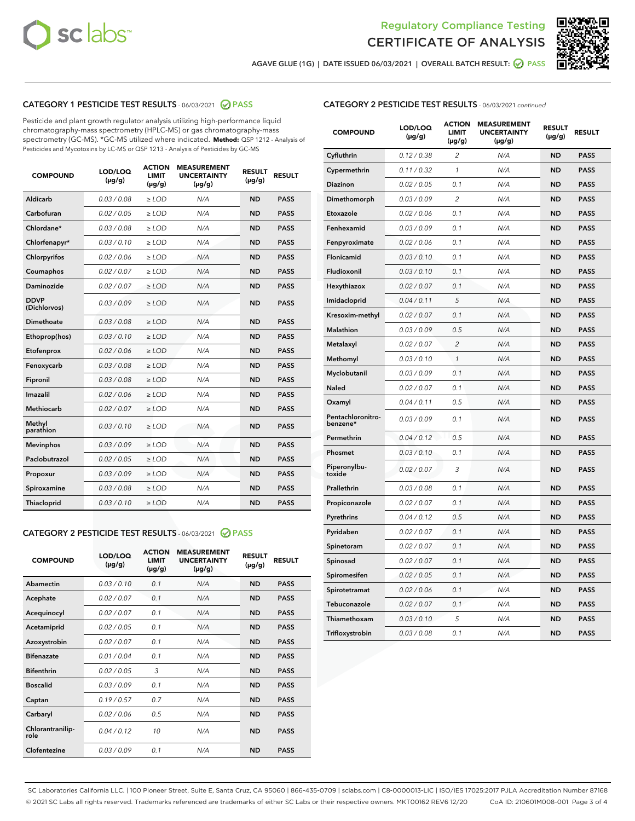



AGAVE GLUE (1G) | DATE ISSUED 06/03/2021 | OVERALL BATCH RESULT: 2 PASS

# CATEGORY 1 PESTICIDE TEST RESULTS - 06/03/2021 2 PASS

Pesticide and plant growth regulator analysis utilizing high-performance liquid chromatography-mass spectrometry (HPLC-MS) or gas chromatography-mass spectrometry (GC-MS). \*GC-MS utilized where indicated. **Method:** QSP 1212 - Analysis of Pesticides and Mycotoxins by LC-MS or QSP 1213 - Analysis of Pesticides by GC-MS

| <b>COMPOUND</b>             | LOD/LOQ<br>$(\mu g/g)$ | <b>ACTION</b><br><b>LIMIT</b><br>$(\mu g/g)$ | <b>MEASUREMENT</b><br><b>UNCERTAINTY</b><br>$(\mu g/g)$ | <b>RESULT</b><br>$(\mu g/g)$ | <b>RESULT</b> |
|-----------------------------|------------------------|----------------------------------------------|---------------------------------------------------------|------------------------------|---------------|
| Aldicarb                    | 0.03 / 0.08            | $\ge$ LOD                                    | N/A                                                     | <b>ND</b>                    | <b>PASS</b>   |
| Carbofuran                  | 0.02/0.05              | $\ge$ LOD                                    | N/A                                                     | <b>ND</b>                    | <b>PASS</b>   |
| Chlordane*                  | 0.03 / 0.08            | $>$ LOD                                      | N/A                                                     | <b>ND</b>                    | <b>PASS</b>   |
| Chlorfenapyr*               | 0.03/0.10              | $>$ LOD                                      | N/A                                                     | <b>ND</b>                    | <b>PASS</b>   |
| Chlorpyrifos                | 0.02 / 0.06            | $\ge$ LOD                                    | N/A                                                     | <b>ND</b>                    | <b>PASS</b>   |
| Coumaphos                   | 0.02 / 0.07            | $\ge$ LOD                                    | N/A                                                     | <b>ND</b>                    | <b>PASS</b>   |
| Daminozide                  | 0.02 / 0.07            | $\ge$ LOD                                    | N/A                                                     | <b>ND</b>                    | <b>PASS</b>   |
| <b>DDVP</b><br>(Dichlorvos) | 0.03/0.09              | $\ge$ LOD                                    | N/A                                                     | <b>ND</b>                    | <b>PASS</b>   |
| Dimethoate                  | 0.03 / 0.08            | $\ge$ LOD                                    | N/A                                                     | <b>ND</b>                    | <b>PASS</b>   |
| Ethoprop(hos)               | 0.03/0.10              | $>$ LOD                                      | N/A                                                     | <b>ND</b>                    | <b>PASS</b>   |
| Etofenprox                  | 0.02 / 0.06            | $\ge$ LOD                                    | N/A                                                     | <b>ND</b>                    | <b>PASS</b>   |
| Fenoxycarb                  | 0.03/0.08              | $\ge$ LOD                                    | N/A                                                     | <b>ND</b>                    | <b>PASS</b>   |
| Fipronil                    | 0.03 / 0.08            | $\ge$ LOD                                    | N/A                                                     | <b>ND</b>                    | <b>PASS</b>   |
| Imazalil                    | 0.02 / 0.06            | $>$ LOD                                      | N/A                                                     | <b>ND</b>                    | <b>PASS</b>   |
| Methiocarb                  | 0.02 / 0.07            | $\ge$ LOD                                    | N/A                                                     | <b>ND</b>                    | <b>PASS</b>   |
| Methyl<br>parathion         | 0.03/0.10              | $\ge$ LOD                                    | N/A                                                     | <b>ND</b>                    | <b>PASS</b>   |
| <b>Mevinphos</b>            | 0.03/0.09              | $\ge$ LOD                                    | N/A                                                     | <b>ND</b>                    | <b>PASS</b>   |
| Paclobutrazol               | 0.02 / 0.05            | $\ge$ LOD                                    | N/A                                                     | <b>ND</b>                    | <b>PASS</b>   |
| Propoxur                    | 0.03/0.09              | $\ge$ LOD                                    | N/A                                                     | <b>ND</b>                    | <b>PASS</b>   |
| Spiroxamine                 | 0.03 / 0.08            | $\ge$ LOD                                    | N/A                                                     | <b>ND</b>                    | <b>PASS</b>   |
| Thiacloprid                 | 0.03/0.10              | $\ge$ LOD                                    | N/A                                                     | <b>ND</b>                    | <b>PASS</b>   |

## CATEGORY 2 PESTICIDE TEST RESULTS - 06/03/2021 @ PASS

| <b>COMPOUND</b>          | LOD/LOO<br>$(\mu g/g)$ | <b>ACTION</b><br>LIMIT<br>$(\mu g/g)$ | <b>MEASUREMENT</b><br><b>UNCERTAINTY</b><br>$(\mu g/g)$ | <b>RESULT</b><br>$(\mu g/g)$ | <b>RESULT</b> |
|--------------------------|------------------------|---------------------------------------|---------------------------------------------------------|------------------------------|---------------|
| Abamectin                | 0.03/0.10              | 0.1                                   | N/A                                                     | <b>ND</b>                    | <b>PASS</b>   |
| Acephate                 | 0.02/0.07              | 0.1                                   | N/A                                                     | <b>ND</b>                    | <b>PASS</b>   |
| Acequinocyl              | 0.02/0.07              | 0.1                                   | N/A                                                     | <b>ND</b>                    | <b>PASS</b>   |
| Acetamiprid              | 0.02/0.05              | 0.1                                   | N/A                                                     | <b>ND</b>                    | <b>PASS</b>   |
| Azoxystrobin             | 0.02/0.07              | 0.1                                   | N/A                                                     | <b>ND</b>                    | <b>PASS</b>   |
| <b>Bifenazate</b>        | 0.01/0.04              | 0.1                                   | N/A                                                     | <b>ND</b>                    | <b>PASS</b>   |
| <b>Bifenthrin</b>        | 0.02/0.05              | 3                                     | N/A                                                     | <b>ND</b>                    | <b>PASS</b>   |
| <b>Boscalid</b>          | 0.03/0.09              | 0.1                                   | N/A                                                     | <b>ND</b>                    | <b>PASS</b>   |
| Captan                   | 0.19/0.57              | 0.7                                   | N/A                                                     | <b>ND</b>                    | <b>PASS</b>   |
| Carbaryl                 | 0.02/0.06              | 0.5                                   | N/A                                                     | <b>ND</b>                    | <b>PASS</b>   |
| Chlorantranilip-<br>role | 0.04/0.12              | 10                                    | N/A                                                     | <b>ND</b>                    | <b>PASS</b>   |
| Clofentezine             | 0.03/0.09              | 0.1                                   | N/A                                                     | <b>ND</b>                    | <b>PASS</b>   |

# CATEGORY 2 PESTICIDE TEST RESULTS - 06/03/2021 continued

| <b>COMPOUND</b>               | LOD/LOQ<br>$(\mu g/g)$ | <b>ACTION</b><br>LIMIT<br>$(\mu g/g)$ | <b>MEASUREMENT</b><br><b>UNCERTAINTY</b><br>(µg/g) | <b>RESULT</b><br>(µg/g) | <b>RESULT</b> |
|-------------------------------|------------------------|---------------------------------------|----------------------------------------------------|-------------------------|---------------|
| Cyfluthrin                    | 0.12 / 0.38            | 2                                     | N/A                                                | <b>ND</b>               | <b>PASS</b>   |
| Cypermethrin                  | 0.11 / 0.32            | $\mathbf{1}$                          | N/A                                                | <b>ND</b>               | <b>PASS</b>   |
| <b>Diazinon</b>               | 0.02 / 0.05            | 0.1                                   | N/A                                                | <b>ND</b>               | <b>PASS</b>   |
| Dimethomorph                  | 0.03 / 0.09            | 2                                     | N/A                                                | <b>ND</b>               | <b>PASS</b>   |
| Etoxazole                     | 0.02 / 0.06            | 0.1                                   | N/A                                                | <b>ND</b>               | PASS          |
| Fenhexamid                    | 0.03 / 0.09            | 0.1                                   | N/A                                                | <b>ND</b>               | <b>PASS</b>   |
| Fenpyroximate                 | 0.02 / 0.06            | 0.1                                   | N/A                                                | <b>ND</b>               | <b>PASS</b>   |
| Flonicamid                    | 0.03 / 0.10            | 0.1                                   | N/A                                                | <b>ND</b>               | <b>PASS</b>   |
| Fludioxonil                   | 0.03 / 0.10            | 0.1                                   | N/A                                                | <b>ND</b>               | <b>PASS</b>   |
| Hexythiazox                   | 0.02 / 0.07            | 0.1                                   | N/A                                                | <b>ND</b>               | <b>PASS</b>   |
| Imidacloprid                  | 0.04 / 0.11            | 5                                     | N/A                                                | <b>ND</b>               | <b>PASS</b>   |
| Kresoxim-methyl               | 0.02 / 0.07            | 0.1                                   | N/A                                                | <b>ND</b>               | <b>PASS</b>   |
| Malathion                     | 0.03 / 0.09            | 0.5                                   | N/A                                                | <b>ND</b>               | <b>PASS</b>   |
| Metalaxyl                     | 0.02 / 0.07            | $\overline{2}$                        | N/A                                                | <b>ND</b>               | <b>PASS</b>   |
| Methomyl                      | 0.03 / 0.10            | 1                                     | N/A                                                | <b>ND</b>               | <b>PASS</b>   |
| Myclobutanil                  | 0.03 / 0.09            | 0.1                                   | N/A                                                | <b>ND</b>               | <b>PASS</b>   |
| Naled                         | 0.02 / 0.07            | 0.1                                   | N/A                                                | <b>ND</b>               | <b>PASS</b>   |
| Oxamyl                        | 0.04/0.11              | 0.5                                   | N/A                                                | <b>ND</b>               | <b>PASS</b>   |
| Pentachloronitro-<br>benzene* | 0.03 / 0.09            | 0.1                                   | N/A                                                | <b>ND</b>               | <b>PASS</b>   |
| Permethrin                    | 0.04 / 0.12            | 0.5                                   | N/A                                                | <b>ND</b>               | <b>PASS</b>   |
| Phosmet                       | 0.03/0.10              | 0.1                                   | N/A                                                | <b>ND</b>               | <b>PASS</b>   |
| Piperonylbu-<br>toxide        | 0.02 / 0.07            | 3                                     | N/A                                                | <b>ND</b>               | <b>PASS</b>   |
| Prallethrin                   | 0.03 / 0.08            | 0.1                                   | N/A                                                | <b>ND</b>               | <b>PASS</b>   |
| Propiconazole                 | 0.02 / 0.07            | 0.1                                   | N/A                                                | ND                      | <b>PASS</b>   |
| Pyrethrins                    | 0.04 / 0.12            | 0.5                                   | N/A                                                | <b>ND</b>               | <b>PASS</b>   |
| Pyridaben                     | 0.02 / 0.07            | 0.1                                   | N/A                                                | ND                      | <b>PASS</b>   |
| Spinetoram                    | 0.02 / 0.07            | 0.1                                   | N/A                                                | <b>ND</b>               | <b>PASS</b>   |
| Spinosad                      | 0.02 / 0.07            | 0.1                                   | N/A                                                | <b>ND</b>               | <b>PASS</b>   |
| Spiromesifen                  | 0.02 / 0.05            | 0.1                                   | N/A                                                | ND                      | <b>PASS</b>   |
| Spirotetramat                 | 0.02 / 0.06            | 0.1                                   | N/A                                                | ND                      | <b>PASS</b>   |
| Tebuconazole                  | 0.02 / 0.07            | 0.1                                   | N/A                                                | <b>ND</b>               | <b>PASS</b>   |
| Thiamethoxam                  | 0.03 / 0.10            | 5                                     | N/A                                                | <b>ND</b>               | <b>PASS</b>   |
| Trifloxystrobin               | 0.03 / 0.08            | 0.1                                   | N/A                                                | <b>ND</b>               | <b>PASS</b>   |

SC Laboratories California LLC. | 100 Pioneer Street, Suite E, Santa Cruz, CA 95060 | 866-435-0709 | sclabs.com | C8-0000013-LIC | ISO/IES 17025:2017 PJLA Accreditation Number 87168 © 2021 SC Labs all rights reserved. Trademarks referenced are trademarks of either SC Labs or their respective owners. MKT00162 REV6 12/20 CoA ID: 210601M008-001 Page 3 of 4